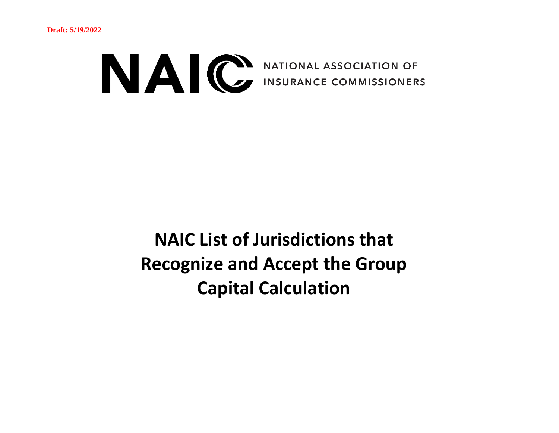

**NAIC List of Jurisdictions that Recognize and Accept the Group Capital Calculation**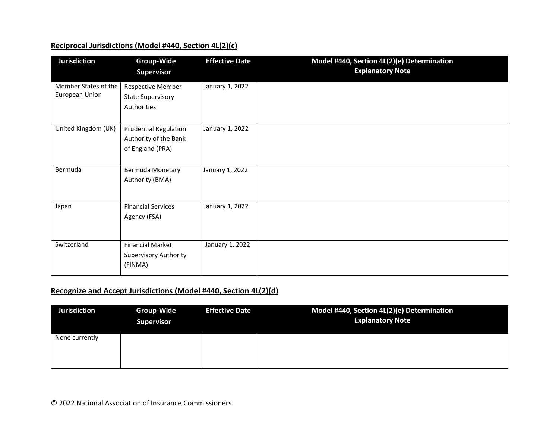## **Reciprocal Jurisdictions (Model #440, Section 4L(2)(c)**

| <b>Jurisdiction</b>                    | <b>Group-Wide</b><br><b>Supervisor</b>                                    | <b>Effective Date</b> | Model #440, Section 4L(2)(e) Determination<br><b>Explanatory Note</b> |
|----------------------------------------|---------------------------------------------------------------------------|-----------------------|-----------------------------------------------------------------------|
| Member States of the<br>European Union | <b>Respective Member</b><br><b>State Supervisory</b><br>Authorities       | January 1, 2022       |                                                                       |
| United Kingdom (UK)                    | <b>Prudential Regulation</b><br>Authority of the Bank<br>of England (PRA) | January 1, 2022       |                                                                       |
| Bermuda                                | Bermuda Monetary<br>Authority (BMA)                                       | January 1, 2022       |                                                                       |
| Japan                                  | <b>Financial Services</b><br>Agency (FSA)                                 | January 1, 2022       |                                                                       |
| Switzerland                            | <b>Financial Market</b><br><b>Supervisory Authority</b><br>(FINMA)        | January 1, 2022       |                                                                       |

## **Recognize and Accept Jurisdictions (Model #440, Section 4L(2)(d)**

| <b>Jurisdiction</b> | <b>Group-Wide</b><br><b>Supervisor</b> | <b>Effective Date</b> | Model #440, Section 4L(2)(e) Determination<br><b>Explanatory Note</b> |
|---------------------|----------------------------------------|-----------------------|-----------------------------------------------------------------------|
| None currently      |                                        |                       |                                                                       |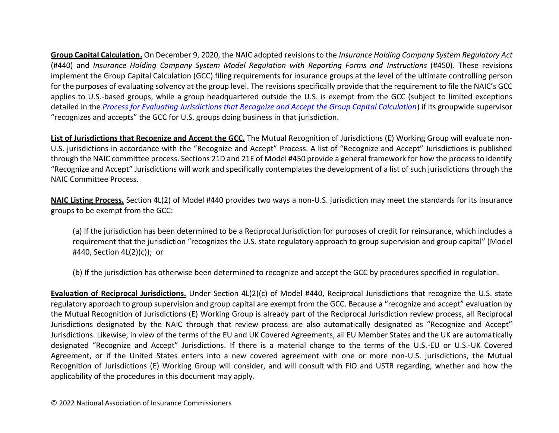**Group Capital Calculation.** On December 9, 2020, the NAIC adopted revisions to the *Insurance Holding Company System Regulatory Act* (#440) and *Insurance Holding Company System Model Regulation with Reporting Forms and Instructions* (#450). These revisions implement the Group Capital Calculation (GCC) filing requirements for insurance groups at the level of the ultimate controlling person for the purposes of evaluating solvency at the group level. The revisions specifically provide that the requirement to file the NAIC's GCC applies to U.S.-based groups, while a group headquartered outside the U.S. is exempt from the GCC (subject to limited exceptions detailed in the *[Process for Evaluating Jurisdictions that Recognize and Accept the Group Capital Calculation](https://content.naic.org/sites/default/files/inline-files/GCC%20Recognize%20and%20Accepts%20Process%20Final_0.pdf)*) if its groupwide supervisor "recognizes and accepts" the GCC for U.S. groups doing business in that jurisdiction.

**List of Jurisdictions that Recognize and Accept the GCC.** The Mutual Recognition of Jurisdictions (E) Working Group will evaluate non-U.S. jurisdictions in accordance with the "Recognize and Accept" Process. A list of "Recognize and Accept" Jurisdictions is published through the NAIC committee process. Sections 21D and 21E of Model #450 provide a general framework for how the process to identify "Recognize and Accept" Jurisdictions will work and specifically contemplates the development of a list of such jurisdictions through the NAIC Committee Process.

**NAIC Listing Process.** Section 4L(2) of Model #440 provides two ways a non-U.S. jurisdiction may meet the standards for its insurance groups to be exempt from the GCC:

(a) If the jurisdiction has been determined to be a Reciprocal Jurisdiction for purposes of credit for reinsurance, which includes a requirement that the jurisdiction "recognizes the U.S. state regulatory approach to group supervision and group capital" (Model #440, Section 4L(2)(c)); or

(b) If the jurisdiction has otherwise been determined to recognize and accept the GCC by procedures specified in regulation.

**Evaluation of Reciprocal Jurisdictions.** Under Section 4L(2)(c) of Model #440, Reciprocal Jurisdictions that recognize the U.S. state regulatory approach to group supervision and group capital are exempt from the GCC. Because a "recognize and accept" evaluation by the Mutual Recognition of Jurisdictions (E) Working Group is already part of the Reciprocal Jurisdiction review process, all Reciprocal Jurisdictions designated by the NAIC through that review process are also automatically designated as "Recognize and Accept" Jurisdictions. Likewise, in view of the terms of the EU and UK Covered Agreements, all EU Member States and the UK are automatically designated "Recognize and Accept" Jurisdictions. If there is a material change to the terms of the U.S.-EU or U.S.-UK Covered Agreement, or if the United States enters into a new covered agreement with one or more non-U.S. jurisdictions, the Mutual Recognition of Jurisdictions (E) Working Group will consider, and will consult with FIO and USTR regarding, whether and how the applicability of the procedures in this document may apply.

© 2022 National Association of Insurance Commissioners